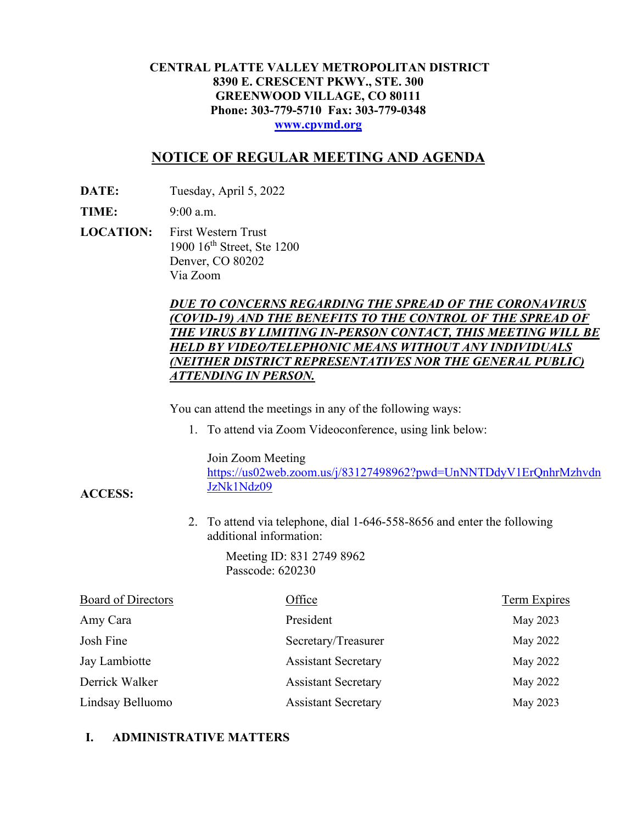### **CENTRAL PLATTE VALLEY METROPOLITAN DISTRICT 8390 E. CRESCENT PKWY., STE. 300 GREENWOOD VILLAGE, CO 80111 Phone: 303-779-5710 Fax: 303-779-0348 [www.cpvmd.org](http://www.cpvmd.org/)**

# **NOTICE OF REGULAR MEETING AND AGENDA**

**DATE:** Tuesday, April 5, 2022

**TIME:** 9:00 a.m.

**ACCESS:**

**LOCATION:** First Western Trust 1900 16<sup>th</sup> Street, Ste 1200 Denver, CO 80202 Via Zoom

## *DUE TO CONCERNS REGARDING THE SPREAD OF THE CORONAVIRUS (COVID-19) AND THE BENEFITS TO THE CONTROL OF THE SPREAD OF THE VIRUS BY LIMITING IN-PERSON CONTACT, THIS MEETING WILL BE HELD BY VIDEO/TELEPHONIC MEANS WITHOUT ANY INDIVIDUALS (NEITHER DISTRICT REPRESENTATIVES NOR THE GENERAL PUBLIC) ATTENDING IN PERSON.*

You can attend the meetings in any of the following ways:

1. To attend via Zoom Videoconference, using link below:

Join Zoom Meeting

[https://us02web.zoom.us/j/83127498962?pwd=UnNNTDdyV1ErQnhrMzhvdn](https://nam11.safelinks.protection.outlook.com/?url=https%3A%2F%2Fus02web.zoom.us%2Fj%2F83127498962%3Fpwd%3DUnNNTDdyV1ErQnhrMzhvdnJzNk1Ndz09&data=04%7C01%7CRachel.alles%40claconnect.com%7C515b8a3a5bb149f0483608d9bfe9225c%7C4aaa468e93ba4ee3ab9f6a247aa3ade0%7C0%7C0%7C637751830440162010%7CUnknown%7CTWFpbGZsb3d8eyJWIjoiMC4wLjAwMDAiLCJQIjoiV2luMzIiLCJBTiI6Ik1haWwiLCJXVCI6Mn0%3D%7C1000&sdata=52L7UuwlopVA0rXq4v79MPjtXkMJTQPWRs1BvoYRINs%3D&reserved=0) [JzNk1Ndz09](https://nam11.safelinks.protection.outlook.com/?url=https%3A%2F%2Fus02web.zoom.us%2Fj%2F83127498962%3Fpwd%3DUnNNTDdyV1ErQnhrMzhvdnJzNk1Ndz09&data=04%7C01%7CRachel.alles%40claconnect.com%7C515b8a3a5bb149f0483608d9bfe9225c%7C4aaa468e93ba4ee3ab9f6a247aa3ade0%7C0%7C0%7C637751830440162010%7CUnknown%7CTWFpbGZsb3d8eyJWIjoiMC4wLjAwMDAiLCJQIjoiV2luMzIiLCJBTiI6Ik1haWwiLCJXVCI6Mn0%3D%7C1000&sdata=52L7UuwlopVA0rXq4v79MPjtXkMJTQPWRs1BvoYRINs%3D&reserved=0)

2. To attend via telephone, dial 1-646-558-8656 and enter the following additional information:

> Meeting ID: 831 2749 8962 Passcode: 620230

| <b>Board of Directors</b> | Office                     | <b>Term Expires</b> |
|---------------------------|----------------------------|---------------------|
| Amy Cara                  | President                  | May 2023            |
| Josh Fine                 | Secretary/Treasurer        | May 2022            |
| Jay Lambiotte             | <b>Assistant Secretary</b> | May 2022            |
| Derrick Walker            | <b>Assistant Secretary</b> | May 2022            |
| Lindsay Belluomo          | <b>Assistant Secretary</b> | May 2023            |

## **I. ADMINISTRATIVE MATTERS**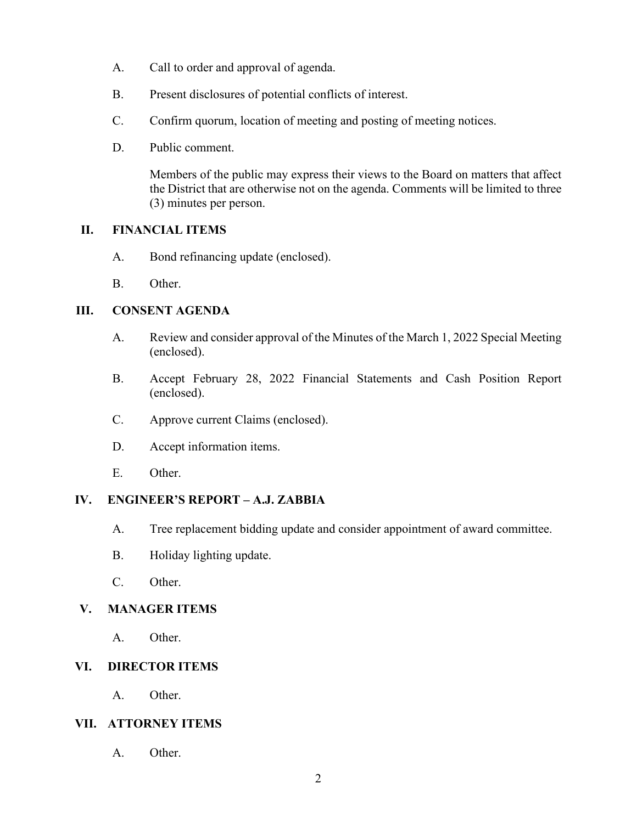- A. Call to order and approval of agenda.
- B. Present disclosures of potential conflicts of interest.
- C. Confirm quorum, location of meeting and posting of meeting notices.
- D. Public comment.

Members of the public may express their views to the Board on matters that affect the District that are otherwise not on the agenda. Comments will be limited to three (3) minutes per person.

## **II. FINANCIAL ITEMS**

- A. Bond refinancing update (enclosed).
- B. Other.

## **III. CONSENT AGENDA**

- A. Review and consider approval of the Minutes of the March 1, 2022 Special Meeting (enclosed).
- B. Accept February 28, 2022 Financial Statements and Cash Position Report (enclosed).
- C. Approve current Claims (enclosed).
- D. Accept information items.
- E. Other.

#### **IV. ENGINEER'S REPORT – A.J. ZABBIA**

- A. Tree replacement bidding update and consider appointment of award committee.
- B. Holiday lighting update.
- C. Other.

## **V. MANAGER ITEMS**

A. Other.

## **VI. DIRECTOR ITEMS**

A. Other.

#### **VII. ATTORNEY ITEMS**

A. Other.